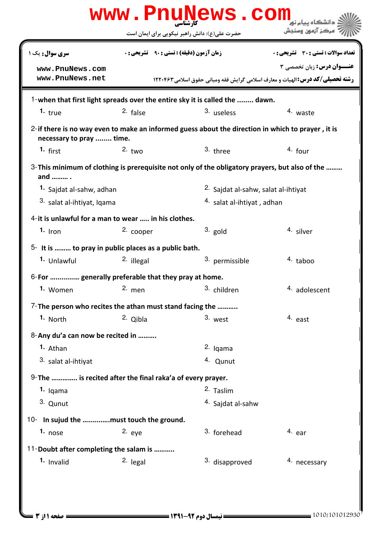| www.PnuNews.com<br>دانشگاه بیام نور                                                                                            |                                                   |                                                |                                                                                |  |  |  |
|--------------------------------------------------------------------------------------------------------------------------------|---------------------------------------------------|------------------------------------------------|--------------------------------------------------------------------------------|--|--|--|
|                                                                                                                                |                                                   | حضرت علی(ع): دانش راهبر نیکویی برای ایمان است  | ' مرڪز آزمون وسنڊش                                                             |  |  |  |
| <b>سری سوال :</b> یک ۱                                                                                                         | <b>زمان آزمون (دقیقه) : تستی : ۹۰٪ تشریحی : 0</b> |                                                | <b>تعداد سوالات : تستی : 30 ٪ تشریحی : 0</b>                                   |  |  |  |
| www.PnuNews.com                                                                                                                |                                                   |                                                | <b>عنــوان درس:</b> زبان تخصصی ۳                                               |  |  |  |
| www.PnuNews.net                                                                                                                |                                                   |                                                | رشته تحصیلی/کد درس: الهیات و معارف اسلامی گرایش فقه ومبانی حقوق اسلامی ۱۲۲۰۴۶۲ |  |  |  |
| 1-when that first light spreads over the entire sky it is called the  dawn.                                                    |                                                   |                                                |                                                                                |  |  |  |
| 1. true                                                                                                                        | $2.$ false                                        | 3. useless                                     | 4. waste                                                                       |  |  |  |
| 2- if there is no way even to make an informed guess about the direction in which to prayer, it is<br>necessary to pray  time. |                                                   |                                                |                                                                                |  |  |  |
| $1.$ first                                                                                                                     | 2. $two$                                          | 3. three                                       | $4.$ four                                                                      |  |  |  |
| 3-This minimum of clothing is prerequisite not only of the obligatory prayers, but also of the<br>and  .                       |                                                   |                                                |                                                                                |  |  |  |
| <sup>1.</sup> Sajdat al-sahw, adhan                                                                                            |                                                   | <sup>2.</sup> Sajdat al-sahw, salat al-ihtiyat |                                                                                |  |  |  |
| 3. salat al-ihtiyat, Iqama                                                                                                     |                                                   | <sup>4.</sup> salat al-ihtiyat, adhan          |                                                                                |  |  |  |
| 4- it is unlawful for a man to wear  in his clothes.                                                                           |                                                   |                                                |                                                                                |  |  |  |
| $1.$ Iron                                                                                                                      | 2. cooper                                         | $3.$ gold                                      | 4. silver                                                                      |  |  |  |
| 5- It is  to pray in public places as a public bath.                                                                           |                                                   |                                                |                                                                                |  |  |  |
| 1. Unlawful                                                                                                                    | 2. illegal                                        | 3. permissible                                 | 4. taboo                                                                       |  |  |  |
| 6-For  generally preferable that they pray at home.                                                                            |                                                   |                                                |                                                                                |  |  |  |
| 1. Women 2. men 3. children                                                                                                    |                                                   |                                                | 4. adolescent                                                                  |  |  |  |
| 7- The person who recites the athan must stand facing the                                                                      |                                                   |                                                |                                                                                |  |  |  |
| 1. North                                                                                                                       | 2. Qibla                                          | 3. west                                        | 4. east                                                                        |  |  |  |
| 8-Any du'a can now be recited in                                                                                               |                                                   |                                                |                                                                                |  |  |  |
| 1. Athan                                                                                                                       |                                                   | 2. Iqama                                       |                                                                                |  |  |  |
| 3. salat al-ihtiyat                                                                                                            |                                                   | 4. Qunut                                       |                                                                                |  |  |  |
| 9- The  is recited after the final raka'a of every prayer.                                                                     |                                                   |                                                |                                                                                |  |  |  |
| 1. Igama                                                                                                                       |                                                   | 2. Taslim                                      |                                                                                |  |  |  |
| 3. Qunut                                                                                                                       |                                                   | <sup>4.</sup> Sajdat al-sahw                   |                                                                                |  |  |  |
| 10- In sujud the must touch the ground.                                                                                        |                                                   |                                                |                                                                                |  |  |  |
| 1. nose                                                                                                                        | $2.$ eye                                          | 3. forehead                                    | 4. ear                                                                         |  |  |  |
| 11-Doubt after completing the salam is                                                                                         |                                                   |                                                |                                                                                |  |  |  |
| 1. Invalid                                                                                                                     | $2.$ legal                                        | 3. disapproved                                 | 4. necessary                                                                   |  |  |  |
|                                                                                                                                |                                                   |                                                |                                                                                |  |  |  |
|                                                                                                                                |                                                   |                                                |                                                                                |  |  |  |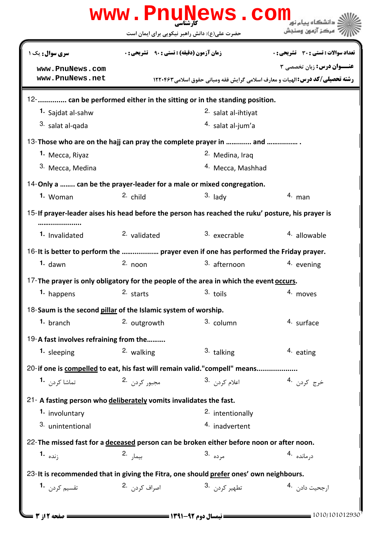|                                                                    |                                                    | حضرت علی(ع): دانش راهبر نیکویی برای ایمان است                                                     | مركز آزمون وسنجش                      |
|--------------------------------------------------------------------|----------------------------------------------------|---------------------------------------------------------------------------------------------------|---------------------------------------|
| <b>سری سوال :</b> یک ۱                                             | <b>زمان آزمون (دقیقه) : تستی : 90 ٪ تشریحی : 0</b> |                                                                                                   | تعداد سوالات : تستي : 30 ٪ تشريحي : 0 |
| www.PnuNews.com                                                    |                                                    |                                                                                                   | <b>عنــوان درس:</b> زبان تخصصي 3      |
| www.PnuNews.net                                                    |                                                    | رشته تحصیلی/کد درس: الهیات و معارف اسلامی گرایش فقه ومبانی حقوق اسلامی ۱۲۲۰۴۶۳                    |                                       |
|                                                                    |                                                    | 12- can be performed either in the sitting or in the standing position.                           |                                       |
| 1. Sajdat al-sahw                                                  |                                                    | 2. salat al-ihtiyat                                                                               |                                       |
| 3. salat al-qada                                                   |                                                    | <sup>4.</sup> salat al-jum'a                                                                      |                                       |
|                                                                    |                                                    | 13-Those who are on the hajj can pray the complete prayer in  and                                 |                                       |
| 1. Mecca, Riyaz                                                    |                                                    | <sup>2.</sup> Medina, Iraq                                                                        |                                       |
| 3. Mecca, Medina                                                   |                                                    | <sup>4.</sup> Mecca, Mashhad                                                                      |                                       |
|                                                                    |                                                    | 14-Only a  can be the prayer-leader for a male or mixed congregation.                             |                                       |
| 1. Woman                                                           | $2.$ child                                         | $3.$ lady                                                                                         | $4.$ man                              |
|                                                                    |                                                    | 15-If prayer-leader aises his head before the person has reached the ruku' posture, his prayer is |                                       |
| 1. Invalidated                                                     | 2. validated                                       | 3. execrable                                                                                      | <sup>4</sup> allowable                |
|                                                                    |                                                    | 16- It is better to perform the  prayer even if one has performed the Friday prayer.              |                                       |
| $1.$ dawn                                                          | $2.$ noon                                          | 3. afternoon                                                                                      | 4. evening                            |
|                                                                    |                                                    | 17-The prayer is only obligatory for the people of the area in which the event occurs.            |                                       |
| 1. happens                                                         | 2. starts                                          | 3. toils                                                                                          | 4. moves                              |
| 18-Saum is the second pillar of the Islamic system of worship.     |                                                    |                                                                                                   |                                       |
| 1. branch                                                          | 2. outgrowth                                       | 3. column                                                                                         | 4. surface                            |
| 19-A fast involves refraining from the                             |                                                    |                                                                                                   |                                       |
| 1. sleeping                                                        | 2. walking                                         | 3. talking                                                                                        | 4. eating                             |
|                                                                    |                                                    | 20- if one is compelled to eat, his fast will remain valid."compell" means                        |                                       |
| تماشا كردن <b>1</b> ۰                                              | مجبور کردن 2.                                      | 3. اعلام کردن <sup>3</sup> .                                                                      | خرج کردن .4                           |
|                                                                    |                                                    |                                                                                                   |                                       |
| 21- A fasting person who deliberately vomits invalidates the fast. |                                                    |                                                                                                   |                                       |
| <sup>1.</sup> involuntary                                          |                                                    | <sup>2.</sup> intentionally                                                                       |                                       |
| 3. unintentional                                                   |                                                    | 4. inadvertent                                                                                    |                                       |
|                                                                    |                                                    | 22-The missed fast for a deceased person can be broken either before noon or after noon.          |                                       |
| زنده <b>1.</b>                                                     | بيما <sub>ر</sub> .2                               | مرده .3                                                                                           | درمانده 4.                            |
|                                                                    |                                                    | 23-It is recommended that in giving the Fitra, one should prefer ones' own neighbours.            |                                       |
| تقسی <sub>م کردن</sub> <b>1</b> ۰                                  | اصراف کردن <sup>.2</sup>                           | تطهير كردن .3                                                                                     | ارجحيت دادن 4.                        |